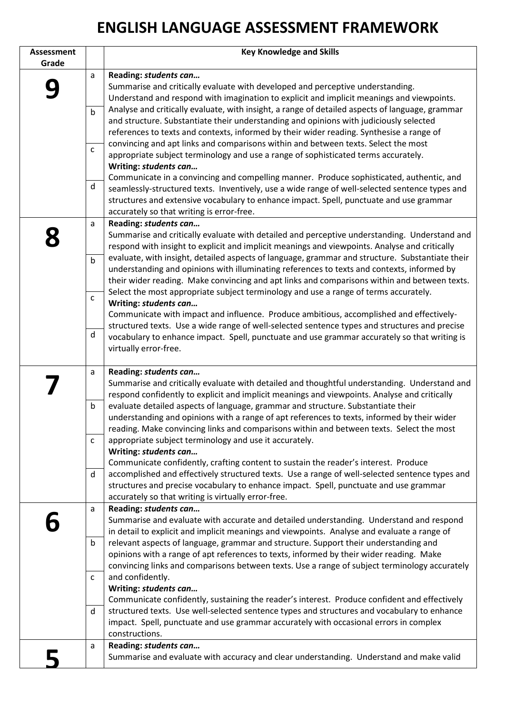## **ENGLISH LANGUAGE ASSESSMENT FRAMEWORK**

| <b>Assessment</b><br>Grade |              | <b>Key Knowledge and Skills</b>                                                                                                                                                                                                                                      |
|----------------------------|--------------|----------------------------------------------------------------------------------------------------------------------------------------------------------------------------------------------------------------------------------------------------------------------|
|                            | a            | Reading: students can                                                                                                                                                                                                                                                |
|                            |              | Summarise and critically evaluate with developed and perceptive understanding.<br>Understand and respond with imagination to explicit and implicit meanings and viewpoints.                                                                                          |
|                            | $\mathsf b$  | Analyse and critically evaluate, with insight, a range of detailed aspects of language, grammar<br>and structure. Substantiate their understanding and opinions with judiciously selected                                                                            |
|                            | $\mathsf C$  | references to texts and contexts, informed by their wider reading. Synthesise a range of<br>convincing and apt links and comparisons within and between texts. Select the most<br>appropriate subject terminology and use a range of sophisticated terms accurately. |
|                            |              | Writing: students can<br>Communicate in a convincing and compelling manner. Produce sophisticated, authentic, and                                                                                                                                                    |
|                            | d            | seamlessly-structured texts. Inventively, use a wide range of well-selected sentence types and<br>structures and extensive vocabulary to enhance impact. Spell, punctuate and use grammar                                                                            |
|                            |              | accurately so that writing is error-free.                                                                                                                                                                                                                            |
|                            | a            | Reading: students can                                                                                                                                                                                                                                                |
|                            |              | Summarise and critically evaluate with detailed and perceptive understanding. Understand and                                                                                                                                                                         |
|                            |              | respond with insight to explicit and implicit meanings and viewpoints. Analyse and critically                                                                                                                                                                        |
|                            | $\mathsf b$  | evaluate, with insight, detailed aspects of language, grammar and structure. Substantiate their                                                                                                                                                                      |
|                            |              | understanding and opinions with illuminating references to texts and contexts, informed by<br>their wider reading. Make convincing and apt links and comparisons within and between texts.                                                                           |
|                            |              | Select the most appropriate subject terminology and use a range of terms accurately.                                                                                                                                                                                 |
|                            | $\mathsf{C}$ | Writing: students can                                                                                                                                                                                                                                                |
|                            |              | Communicate with impact and influence. Produce ambitious, accomplished and effectively-                                                                                                                                                                              |
|                            |              | structured texts. Use a wide range of well-selected sentence types and structures and precise                                                                                                                                                                        |
|                            | d            | vocabulary to enhance impact. Spell, punctuate and use grammar accurately so that writing is                                                                                                                                                                         |
|                            |              | virtually error-free.                                                                                                                                                                                                                                                |
|                            | a            | Reading: students can                                                                                                                                                                                                                                                |
|                            |              | Summarise and critically evaluate with detailed and thoughtful understanding. Understand and                                                                                                                                                                         |
|                            |              | respond confidently to explicit and implicit meanings and viewpoints. Analyse and critically                                                                                                                                                                         |
|                            | $\mathsf b$  | evaluate detailed aspects of language, grammar and structure. Substantiate their                                                                                                                                                                                     |
|                            |              | understanding and opinions with a range of apt references to texts, informed by their wider                                                                                                                                                                          |
|                            |              | reading. Make convincing links and comparisons within and between texts. Select the most                                                                                                                                                                             |
|                            | C            | appropriate subject terminology and use it accurately.                                                                                                                                                                                                               |
|                            |              | Writing: students can<br>Communicate confidently, crafting content to sustain the reader's interest. Produce                                                                                                                                                         |
|                            | d            | accomplished and effectively structured texts. Use a range of well-selected sentence types and                                                                                                                                                                       |
|                            |              | structures and precise vocabulary to enhance impact. Spell, punctuate and use grammar                                                                                                                                                                                |
|                            |              | accurately so that writing is virtually error-free.                                                                                                                                                                                                                  |
|                            | a            | Reading: students can                                                                                                                                                                                                                                                |
|                            |              | Summarise and evaluate with accurate and detailed understanding. Understand and respond                                                                                                                                                                              |
|                            |              | in detail to explicit and implicit meanings and viewpoints. Analyse and evaluate a range of                                                                                                                                                                          |
|                            | b            | relevant aspects of language, grammar and structure. Support their understanding and                                                                                                                                                                                 |
|                            |              | opinions with a range of apt references to texts, informed by their wider reading. Make<br>convincing links and comparisons between texts. Use a range of subject terminology accurately                                                                             |
|                            | $\mathsf{C}$ | and confidently.                                                                                                                                                                                                                                                     |
|                            |              | Writing: students can                                                                                                                                                                                                                                                |
|                            |              | Communicate confidently, sustaining the reader's interest. Produce confident and effectively                                                                                                                                                                         |
|                            | d            | structured texts. Use well-selected sentence types and structures and vocabulary to enhance                                                                                                                                                                          |
|                            |              | impact. Spell, punctuate and use grammar accurately with occasional errors in complex                                                                                                                                                                                |
|                            |              | constructions.                                                                                                                                                                                                                                                       |
|                            | a            | Reading: students can                                                                                                                                                                                                                                                |
|                            |              | Summarise and evaluate with accuracy and clear understanding. Understand and make valid                                                                                                                                                                              |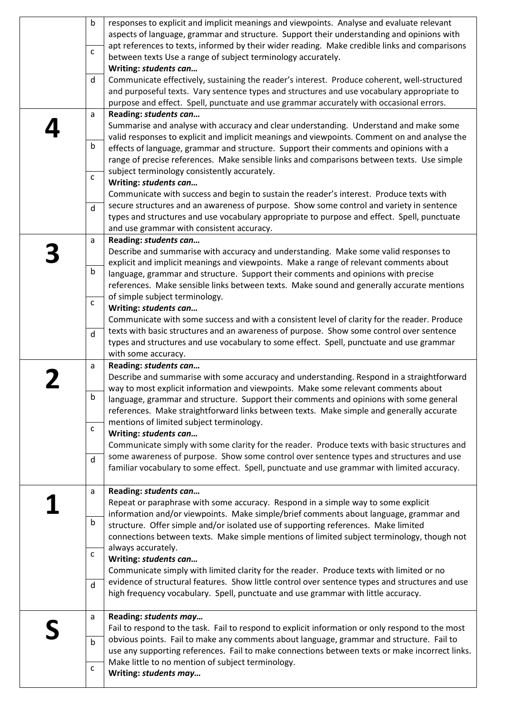| $\mathsf b$  | responses to explicit and implicit meanings and viewpoints. Analyse and evaluate relevant<br>aspects of language, grammar and structure. Support their understanding and opinions with |
|--------------|----------------------------------------------------------------------------------------------------------------------------------------------------------------------------------------|
| $\mathsf{C}$ | apt references to texts, informed by their wider reading. Make credible links and comparisons                                                                                          |
|              | between texts Use a range of subject terminology accurately.                                                                                                                           |
|              | Writing: students can                                                                                                                                                                  |
| d            | Communicate effectively, sustaining the reader's interest. Produce coherent, well-structured                                                                                           |
|              | and purposeful texts. Vary sentence types and structures and use vocabulary appropriate to                                                                                             |
|              | purpose and effect. Spell, punctuate and use grammar accurately with occasional errors.                                                                                                |
| a            | Reading: students can                                                                                                                                                                  |
|              | Summarise and analyse with accuracy and clear understanding. Understand and make some                                                                                                  |
|              | valid responses to explicit and implicit meanings and viewpoints. Comment on and analyse the                                                                                           |
| b            | effects of language, grammar and structure. Support their comments and opinions with a                                                                                                 |
|              | range of precise references. Make sensible links and comparisons between texts. Use simple                                                                                             |
|              | subject terminology consistently accurately.                                                                                                                                           |
| $\mathsf{C}$ | Writing: students can                                                                                                                                                                  |
|              | Communicate with success and begin to sustain the reader's interest. Produce texts with                                                                                                |
|              | secure structures and an awareness of purpose. Show some control and variety in sentence                                                                                               |
| $\mathsf{d}$ | types and structures and use vocabulary appropriate to purpose and effect. Spell, punctuate                                                                                            |
|              | and use grammar with consistent accuracy.                                                                                                                                              |
|              | Reading: students can                                                                                                                                                                  |
| a            |                                                                                                                                                                                        |
|              | Describe and summarise with accuracy and understanding. Make some valid responses to<br>explicit and implicit meanings and viewpoints. Make a range of relevant comments about         |
| $\mathsf b$  |                                                                                                                                                                                        |
|              | language, grammar and structure. Support their comments and opinions with precise                                                                                                      |
|              | references. Make sensible links between texts. Make sound and generally accurate mentions                                                                                              |
| $\mathsf{C}$ | of simple subject terminology.                                                                                                                                                         |
|              | Writing: students can                                                                                                                                                                  |
|              | Communicate with some success and with a consistent level of clarity for the reader. Produce                                                                                           |
| $\mathsf{d}$ | texts with basic structures and an awareness of purpose. Show some control over sentence                                                                                               |
|              | types and structures and use vocabulary to some effect. Spell, punctuate and use grammar<br>with some accuracy.                                                                        |
|              | Reading: students can                                                                                                                                                                  |
| a            | Describe and summarise with some accuracy and understanding. Respond in a straightforward                                                                                              |
|              | way to most explicit information and viewpoints. Make some relevant comments about                                                                                                     |
| b            | language, grammar and structure. Support their comments and opinions with some general                                                                                                 |
|              | references. Make straightforward links between texts. Make simple and generally accurate                                                                                               |
|              | mentions of limited subject terminology.                                                                                                                                               |
| C            | Writing: students can                                                                                                                                                                  |
|              | Communicate simply with some clarity for the reader. Produce texts with basic structures and                                                                                           |
|              | some awareness of purpose. Show some control over sentence types and structures and use                                                                                                |
| $\mathsf{d}$ | familiar vocabulary to some effect. Spell, punctuate and use grammar with limited accuracy.                                                                                            |
|              |                                                                                                                                                                                        |
| a            | Reading: students can                                                                                                                                                                  |
|              | Repeat or paraphrase with some accuracy. Respond in a simple way to some explicit                                                                                                      |
|              | information and/or viewpoints. Make simple/brief comments about language, grammar and                                                                                                  |
| b            | structure. Offer simple and/or isolated use of supporting references. Make limited                                                                                                     |
|              |                                                                                                                                                                                        |
|              |                                                                                                                                                                                        |
|              | connections between texts. Make simple mentions of limited subject terminology, though not                                                                                             |
| $\mathsf{C}$ | always accurately.                                                                                                                                                                     |
|              | Writing: students can                                                                                                                                                                  |
|              | Communicate simply with limited clarity for the reader. Produce texts with limited or no                                                                                               |
| $\mathsf{d}$ | evidence of structural features. Show little control over sentence types and structures and use<br>high frequency vocabulary. Spell, punctuate and use grammar with little accuracy.   |
| a            | Reading: students may                                                                                                                                                                  |
|              | Fail to respond to the task. Fail to respond to explicit information or only respond to the most                                                                                       |
| $\mathsf b$  | obvious points. Fail to make any comments about language, grammar and structure. Fail to                                                                                               |
|              | use any supporting references. Fail to make connections between texts or make incorrect links.                                                                                         |
| $\mathsf{C}$ | Make little to no mention of subject terminology.<br>Writing: students may                                                                                                             |